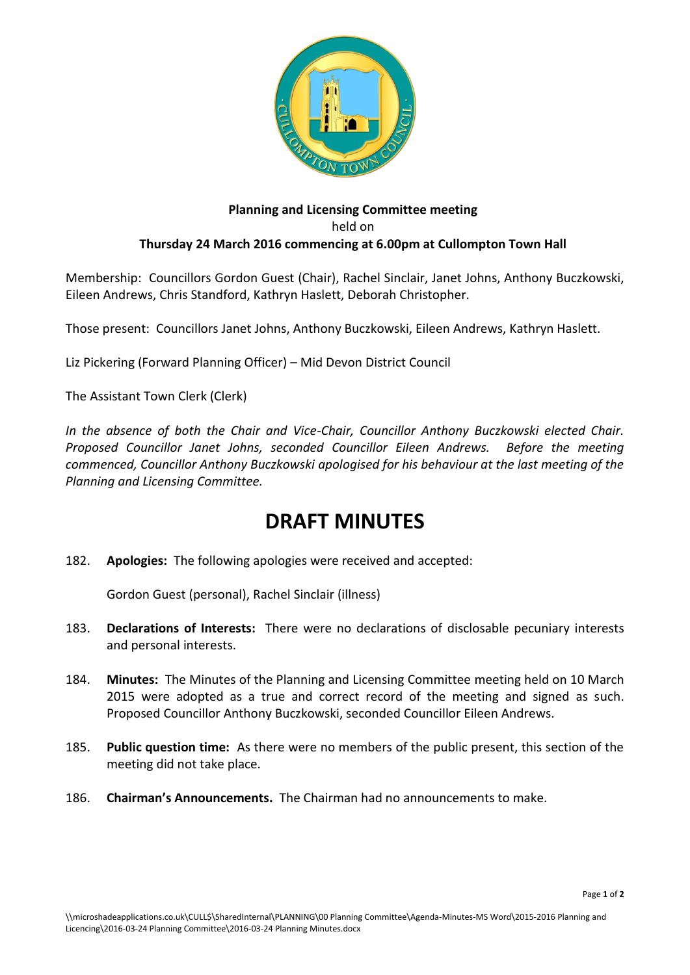

## **Planning and Licensing Committee meeting** held on **Thursday 24 March 2016 commencing at 6.00pm at Cullompton Town Hall**

Membership: Councillors Gordon Guest (Chair), Rachel Sinclair, Janet Johns, Anthony Buczkowski, Eileen Andrews, Chris Standford, Kathryn Haslett, Deborah Christopher.

Those present: Councillors Janet Johns, Anthony Buczkowski, Eileen Andrews, Kathryn Haslett.

Liz Pickering (Forward Planning Officer) – Mid Devon District Council

The Assistant Town Clerk (Clerk)

*In the absence of both the Chair and Vice-Chair, Councillor Anthony Buczkowski elected Chair. Proposed Councillor Janet Johns, seconded Councillor Eileen Andrews. Before the meeting commenced, Councillor Anthony Buczkowski apologised for his behaviour at the last meeting of the Planning and Licensing Committee.*

## **DRAFT MINUTES**

182. **Apologies:** The following apologies were received and accepted:

Gordon Guest (personal), Rachel Sinclair (illness)

- 183. **Declarations of Interests:** There were no declarations of disclosable pecuniary interests and personal interests.
- 184. **Minutes:** The Minutes of the Planning and Licensing Committee meeting held on 10 March 2015 were adopted as a true and correct record of the meeting and signed as such. Proposed Councillor Anthony Buczkowski, seconded Councillor Eileen Andrews.
- 185. **Public question time:** As there were no members of the public present, this section of the meeting did not take place.
- 186. **Chairman's Announcements.** The Chairman had no announcements to make.